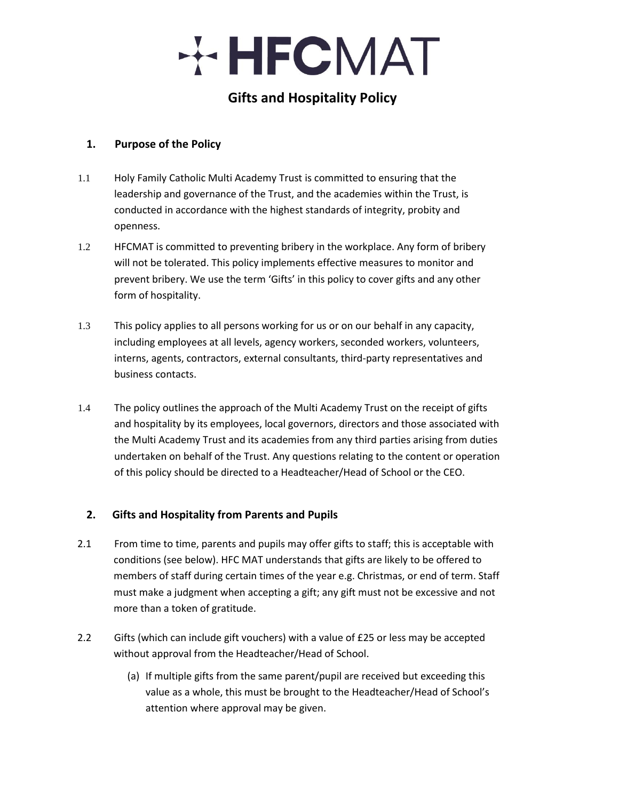

## **Gifts and Hospitality Policy**

#### **1. Purpose of the Policy**

- 1.1 Holy Family Catholic Multi Academy Trust is committed to ensuring that the leadership and governance of the Trust, and the academies within the Trust, is conducted in accordance with the highest standards of integrity, probity and openness.
- 1.2 HFCMAT is committed to preventing bribery in the workplace. Any form of bribery will not be tolerated. This policy implements effective measures to monitor and prevent bribery. We use the term 'Gifts' in this policy to cover gifts and any other form of hospitality.
- 1.3 This policy applies to all persons working for us or on our behalf in any capacity, including employees at all levels, agency workers, seconded workers, volunteers, interns, agents, contractors, external consultants, third-party representatives and business contacts.
- 1.4 The policy outlines the approach of the Multi Academy Trust on the receipt of gifts and hospitality by its employees, local governors, directors and those associated with the Multi Academy Trust and its academies from any third parties arising from duties undertaken on behalf of the Trust. Any questions relating to the content or operation of this policy should be directed to a Headteacher/Head of School or the CEO.

### **2. Gifts and Hospitality from Parents and Pupils**

- 2.1 From time to time, parents and pupils may offer gifts to staff; this is acceptable with conditions (see below). HFC MAT understands that gifts are likely to be offered to members of staff during certain times of the year e.g. Christmas, or end of term. Staff must make a judgment when accepting a gift; any gift must not be excessive and not more than a token of gratitude.
- 2.2 Gifts (which can include gift vouchers) with a value of £25 or less may be accepted without approval from the Headteacher/Head of School.
	- (a) If multiple gifts from the same parent/pupil are received but exceeding this value as a whole, this must be brought to the Headteacher/Head of School's attention where approval may be given.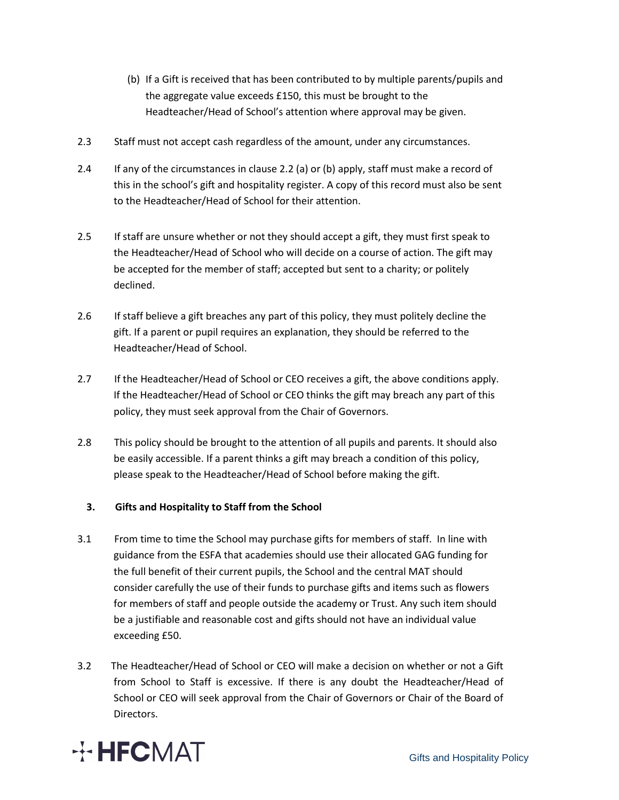- (b) If a Gift is received that has been contributed to by multiple parents/pupils and the aggregate value exceeds £150, this must be brought to the Headteacher/Head of School's attention where approval may be given.
- 2.3 Staff must not accept cash regardless of the amount, under any circumstances.
- 2.4 If any of the circumstances in clause 2.2 (a) or (b) apply, staff must make a record of this in the school's gift and hospitality register. A copy of this record must also be sent to the Headteacher/Head of School for their attention.
- 2.5 If staff are unsure whether or not they should accept a gift, they must first speak to the Headteacher/Head of School who will decide on a course of action. The gift may be accepted for the member of staff; accepted but sent to a charity; or politely declined.
- 2.6 If staff believe a gift breaches any part of this policy, they must politely decline the gift. If a parent or pupil requires an explanation, they should be referred to the Headteacher/Head of School.
- 2.7 If the Headteacher/Head of School or CEO receives a gift, the above conditions apply. If the Headteacher/Head of School or CEO thinks the gift may breach any part of this policy, they must seek approval from the Chair of Governors.
- 2.8 This policy should be brought to the attention of all pupils and parents. It should also be easily accessible. If a parent thinks a gift may breach a condition of this policy, please speak to the Headteacher/Head of School before making the gift.

### **3. Gifts and Hospitality to Staff from the School**

- 3.1 From time to time the School may purchase gifts for members of staff. In line with guidance from the ESFA that academies should use their allocated GAG funding for the full benefit of their current pupils, the School and the central MAT should consider carefully the use of their funds to purchase gifts and items such as flowers for members of staff and people outside the academy or Trust. Any such item should be a justifiable and reasonable cost and gifts should not have an individual value exceeding £50.
- 3.2 The Headteacher/Head of School or CEO will make a decision on whether or not a Gift from School to Staff is excessive. If there is any doubt the Headteacher/Head of School or CEO will seek approval from the Chair of Governors or Chair of the Board of Directors.

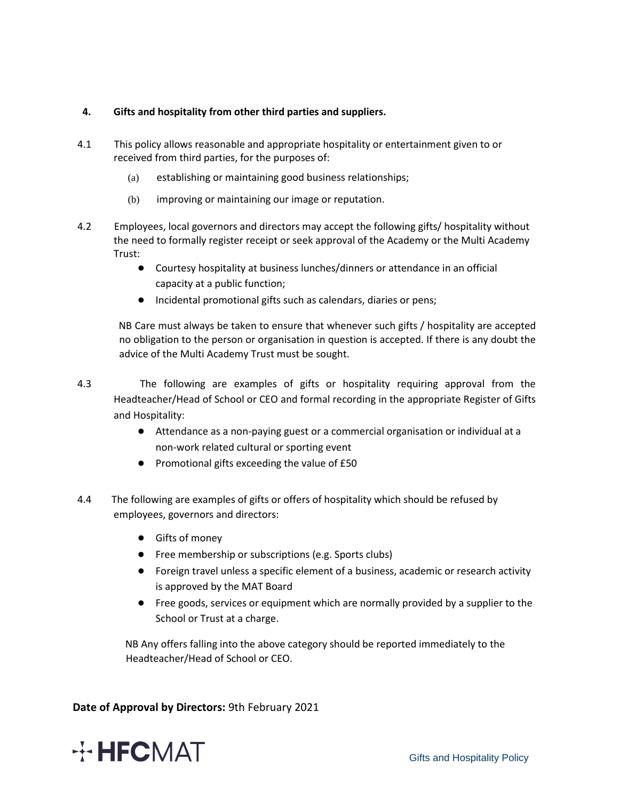#### **4. Gifts and hospitality from other third parties and suppliers.**

- 4.1 This policy allows reasonable and appropriate hospitality or entertainment given to or received from third parties, for the purposes of:
	- (a) establishing or maintaining good business relationships;
	- (b) improving or maintaining our image or reputation.
- 4.2 Employees, local governors and directors may accept the following gifts/ hospitality without the need to formally register receipt or seek approval of the Academy or the Multi Academy Trust:
	- Courtesy hospitality at business lunches/dinners or attendance in an official capacity at a public function;
	- Incidental promotional gifts such as calendars, diaries or pens;

NB Care must always be taken to ensure that whenever such gifts / hospitality are accepted no obligation to the person or organisation in question is accepted. If there is any doubt the advice of the Multi Academy Trust must be sought.

- 4.3 The following are examples of gifts or hospitality requiring approval from the Headteacher/Head of School or CEO and formal recording in the appropriate Register of Gifts and Hospitality:
	- Attendance as a non-paying guest or a commercial organisation or individual at a non-work related cultural or sporting event
	- Promotional gifts exceeding the value of £50
- 4.4 The following are examples of gifts or offers of hospitality which should be refused by employees, governors and directors:
	- Gifts of money
	- Free membership or subscriptions (e.g. Sports clubs)
	- Foreign travel unless a specific element of a business, academic or research activity is approved by the MAT Board
	- Free goods, services or equipment which are normally provided by a supplier to the School or Trust at a charge.

NB Any offers falling into the above category should be reported immediately to the Headteacher/Head of School or CEO.

**Date of Approval by Directors:** 9th February 2021

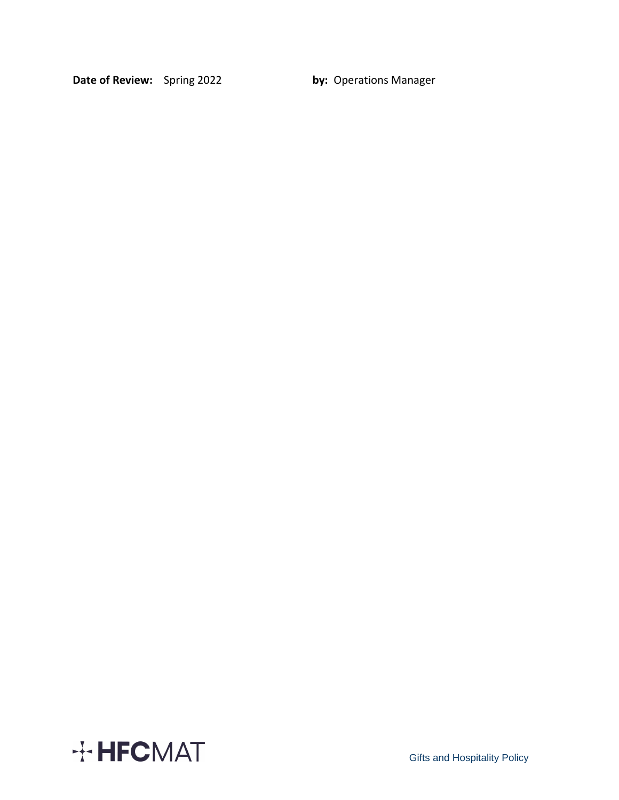**Date of Review:** Spring 2022 **by: Operations Manager** 

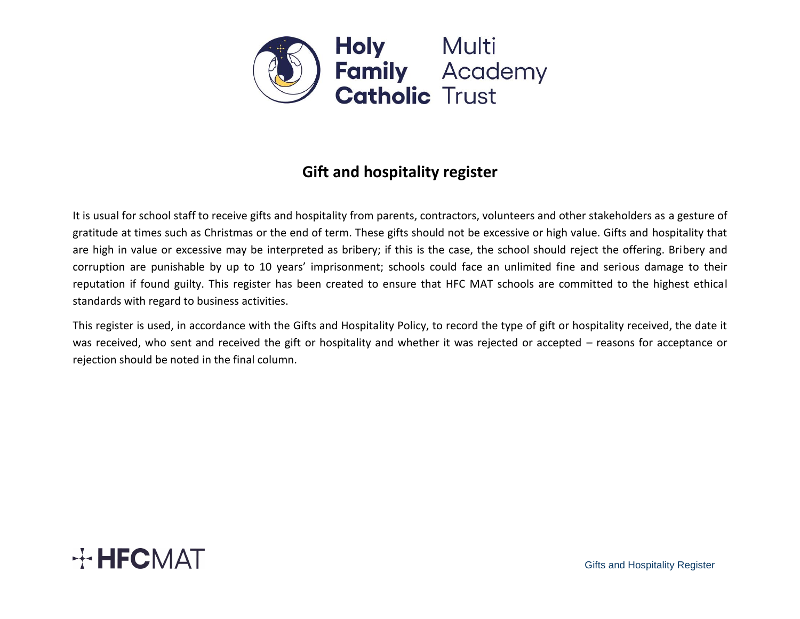

# **Gift and hospitality register**

It is usual for school staff to receive gifts and hospitality from parents, contractors, volunteers and other stakeholders as a gesture of gratitude at times such as Christmas or the end of term. These gifts should not be excessive or high value. Gifts and hospitality that are high in value or excessive may be interpreted as bribery; if this is the case, the school should reject the offering. Bribery and corruption are punishable by up to 10 years' imprisonment; schools could face an unlimited fine and serious damage to their reputation if found guilty. This register has been created to ensure that HFC MAT schools are committed to the highest ethical standards with regard to business activities.

This register is used, in accordance with the Gifts and Hospitality Policy, to record the type of gift or hospitality received, the date it was received, who sent and received the gift or hospitality and whether it was rejected or accepted – reasons for acceptance or rejection should be noted in the final column.



Gifts and Hospitality Register